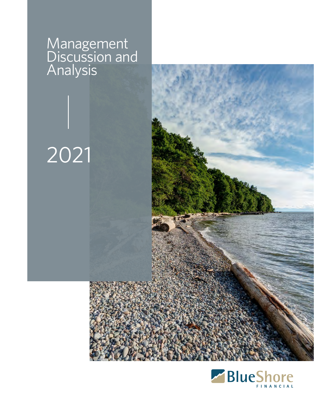# Management Discussion and Analysis

# 2021



2020

Management Discussion Analysis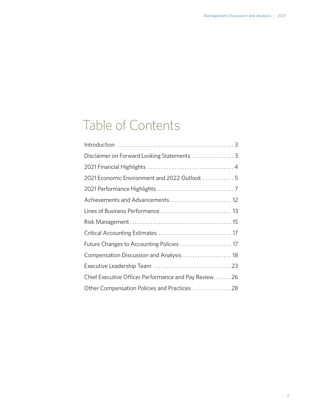# Table of Contents

| Disclaimer on Forward Looking Statements  3          |
|------------------------------------------------------|
|                                                      |
| 2021 Economic Environment and 2022 Outlook  5        |
|                                                      |
| Achievements and Advancements 12                     |
| Lines of Business Performance  13                    |
|                                                      |
| Critical Accounting Estimates  17                    |
| Future Changes to Accounting Policies 17             |
| Compensation Discussion and Analysis 18              |
|                                                      |
| Chief Executive Officer Performance and Pay Review26 |
| Other Compensation Policies and Practices 28         |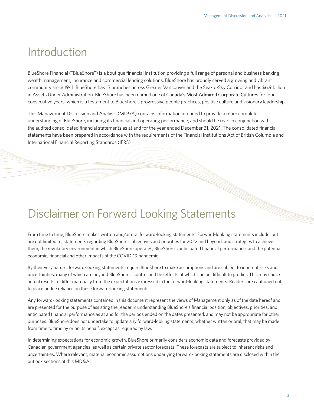# <span id="page-2-0"></span>Introduction

BlueShore Financial ("BlueShore") is a boutique financial institution providing a full range of personal and business banking, wealth management, insurance and commercial lending solutions. BlueShore has proudly served a growing and vibrant community since 1941. BlueShore has 13 branches across Greater Vancouver and the Sea-to-Sky Corridor and has \$6.9 billion in Assets Under Administration. BlueShore has been named one of [Canada's Most Admired Corporate Cultures](https://www.blueshorefinancial.com/about-blueshore/news-events/media-releases/blueshore-financial-named-canadas-most-admired-corporate) for four consecutive years, which is a testament to BlueShore's progressive people practices, positive culture and visionary leadership.

This Management Discussion and Analysis (MD&A) contains information intended to provide a more complete understanding of BlueShore, including its financial and operating performance, and should be read in conjunction with the audited consolidated financial statements as at and for the year ended December 31, 2021. The consolidated financial statements have been prepared in accordance with the requirements of the Financial Institutions Act of British Columbia and International Financial Reporting Standards (IFRS).

# Disclaimer on Forward Looking Statements

From time to time, BlueShore makes written and/or oral forward-looking statements. Forward-looking statements include, but are not limited to, statements regarding BlueShore's objectives and priorities for 2022 and beyond, and strategies to achieve them, the regulatory environment in which BlueShore operates, BlueShore's anticipated financial performance, and the potential economic, financial and other impacts of the COVID-19 pandemic.

By their very nature, forward-looking statements require BlueShore to make assumptions and are subject to inherent risks and uncertainties, many of which are beyond BlueShore's control and the effects of which can be difficult to predict. This may cause actual results to differ materially from the expectations expressed in the forward-looking statements. Readers are cautioned not to place undue reliance on these forward-looking statements.

Any forward-looking statements contained in this document represent the views of Management only as of the date hereof and are presented for the purpose of assisting the reader in understanding BlueShore's financial position, objectives, priorities, and anticipated financial performance as at and for the periods ended on the dates presented, and may not be appropriate for other purposes. BlueShore does not undertake to update any forward-looking statements, whether written or oral, that may be made from time to time by or on its behalf, except as required by law.

In determining expectations for economic growth, BlueShore primarily considers economic data and forecasts provided by Canadian government agencies, as well as certain private sector forecasts. These forecasts are subject to inherent risks and uncertainties. Where relevant, material economic assumptions underlying forward-looking statements are disclosed within the outlook sections of this MD&A.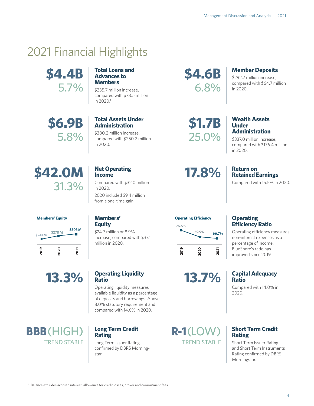# <span id="page-3-0"></span>2021 Financial Highlights



#### **Total Loans and Advances to Members**

\$235.7 million increase, compared with \$78.5 million in 2020. 1

**\$6.9B** 5.8%

# **Total Assets Under Administration**

\$380.2 million increase, compared with \$250.2 million in 2020.

**\$4.6B** 6.8%

# **Member Deposits**

\$292.7 million increase, compared with \$64.7 million in 2020.

**\$1.7B** 25.0%

**17.8%**

#### **Wealth Assets Under Administration**

\$337.0 million increase, compared with \$176.4 million in 2020.

# **Return on Retained Earnings**

Compared with 15.5% in 2020.

# **\$42.0M** 31.3%

# **Net Operating Income**

**Members' Equity**

million in 2020.

\$24.7 million or 8.9% increase, compared with \$37.1

Compared with \$32.0 million in 2020. 2020 included \$9.4 million from a one-time gain.



**13.3%**

# **Operating Liquidity**

Operating liquidity measures available liquidity as a percentage of deposits and borrowings. Above 8.0% statutory requirement and compared with 14.6% in 2020.

**BBB**(HIGH) TREND STABLE

# **Ratio**

### **Long Term Credit Rating**

Long Term Issuer Rating confirmed by DBRS Morningstar.



**13.7%**

# **R-1**(LOW) TREND STABLE

### **Operating Efficiency Ratio**

Operating efficiency measures non-interest expenses as a percentage of income. BlueShore's ratio has improved since 2019.

### **Capital Adequacy Ratio**

Compared with 14.0% in 2020.

# **Short Term Credit Rating**

Short Term Issuer Rating and Short Term Instruments Rating confirmed by DBRS Morningstar.

<sup>1</sup> Balance excludes accrued interest, allowance for credit losses, broker and commitment fees.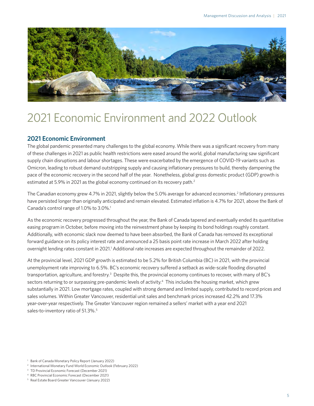<span id="page-4-0"></span>

# 2021 Economic Environment and 2022 Outlook

### **2021 Economic Environment**

The global pandemic presented many challenges to the global economy. While there was a significant recovery from many of these challenges in 2021 as public health restrictions were eased around the world, global manufacturing saw significant supply chain disruptions and labour shortages. These were exacerbated by the emergence of COVID-19 variants such as Omicron, leading to robust demand outstripping supply and causing inflationary pressures to build, thereby dampening the pace of the economic recovery in the second half of the year. Nonetheless, global gross domestic product (GDP) growth is estimated at 5.9% in 2021 as the global economy continued on its recovery path. 2

The Canadian economy grew 4.7% in 2021, slightly below the 5.0% average for advanced economies. 2 Inflationary pressures have persisted longer than originally anticipated and remain elevated. Estimated inflation is 4.7% for 2021, above the Bank of Canada's control range of 1.0% to 3.0%. 1

As the economic recovery progressed throughout the year, the Bank of Canada tapered and eventually ended its quantitative easing program in October, before moving into the reinvestment phase by keeping its bond holdings roughly constant. Additionally, with economic slack now deemed to have been absorbed, the Bank of Canada has removed its exceptional forward guidance on its policy interest rate and announced a 25 basis point rate increase in March 2022 after holding overnight lending rates constant in 2021.<sup>1</sup> Additional rate increases are expected throughout the remainder of 2022.

At the provincial level, 2021 GDP growth is estimated to be 5.2% for British Columbia (BC) in 2021, with the provincial unemployment rate improving to 6.5%. BC's economic recovery suffered a setback as wide-scale flooding disrupted transportation, agriculture, and forestry.<sup>3</sup> Despite this, the provincial economy continues to recover, with many of BC's sectors returning to or surpassing pre-pandemic levels of activity.<sup>4</sup> This includes the housing market, which grew substantially in 2021. Low mortgage rates, coupled with strong demand and limited supply, contributed to record prices and sales volumes. Within Greater Vancouver, residential unit sales and benchmark prices increased 42.2% and 17.3% year-over-year respectively. The Greater Vancouver region remained a sellers' market with a year end 2021 sales-to-inventory ratio of 51.3%. 5

<sup>3</sup> TD Provincial Economic Forecast (December 2021)

<sup>1</sup> Bank of Canada Monetary Policy Report (January 2022)

<sup>2</sup> International Monetary Fund World Economic Outlook (February 2022)

<sup>4</sup> RBC Provincial Economic Forecast (December 2021)

<sup>5</sup> Real Estate Board Greater Vancouver (January 2022)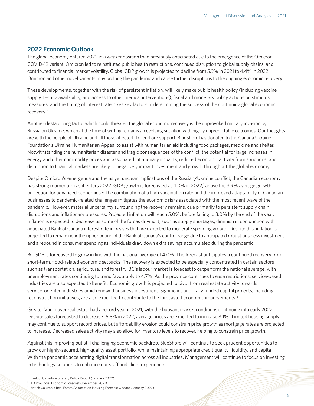### **2022 Economic Outlook**

The global economy entered 2022 in a weaker position than previously anticipated due to the emergence of the Omicron COVID-19 variant. Omicron led to reinstituted public health restrictions, continued disruption to global supply chains, and contributed to financial market volatility. Global GDP growth is projected to decline from 5.9% in 2021 to 4.4% in 2022. Omicron and other novel variants may prolong the pandemic and cause further disruptions to the ongoing economic recovery.

These developments, together with the risk of persistent inflation, will likely make public health policy (including vaccine supply, testing availability, and access to other medical interventions), fiscal and monetary policy actions on stimulus measures, and the timing of interest rate hikes key factors in determining the success of the continuing global economic recovery. 2

Another destabilizing factor which could threaten the global economic recovery is the unprovoked military invasion by Russia on Ukraine, which at the time of writing remains an evolving situation with highly unpredictable outcomes. Our thoughts are with the people of Ukraine and all those affected. To lend our support, BlueShore has donated to the Canada Ukraine Foundation's Ukraine Humanitarian Appeal to assist with humanitarian aid including food packages, medicine and shelter. Notwithstanding the humanitarian disaster and tragic consequences of the conflict, the potential for large increases in energy and other commodity prices and associated inflationary impacts, reduced economic activity from sanctions, and disruption to financial markets are likely to negatively impact investment and growth throughout the global economy.

Despite Omicron's emergence and the as yet unclear implications of the Russian/Ukraine conflict, the Canadian economy has strong momentum as it enters 2022. GDP growth is forecasted at 4.0% in 2022,<sup>1</sup> above the 3.9% average growth projection for advanced economies.<sup>2</sup> The combination of a high vaccination rate and the improved adaptability of Canadian businesses to pandemic-related challenges mitigates the economic risks associated with the most recent wave of the pandemic. However, material uncertainty surrounding the recovery remains, due primarily to persistent supply chain disruptions and inflationary pressures. Projected inflation will reach 5.0%, before falling to 3.0% by the end of the year. Inflation is expected to decrease as some of the forces driving it, such as supply shortages, diminish in conjunction with anticipated Bank of Canada interest rate increases that are expected to moderate spending growth. Despite this, inflation is projected to remain near the upper bound of the Bank of Canada's control range due to anticipated robust business investment and a rebound in consumer spending as individuals draw down extra savings accumulated during the pandemic. 1

BC GDP is forecasted to grow in line with the national average of 4.0%. The forecast anticipates a continued recovery from short-term, flood-related economic setbacks. The recovery is expected to be especially concentrated in certain sectors such as transportation, agriculture, and forestry. BC's labour market is forecast to outperform the national average, with unemployment rates continuing to trend favourably to 4.7%. As the province continues to ease restrictions, service-based industries are also expected to benefit. Economic growth is projected to pivot from real estate activity towards service-oriented industries amid renewed business investment. Significant publically funded capital projects, including reconstruction initiatives, are also expected to contribute to the forecasted economic improvements. 3

Greater Vancouver real estate had a record year in 2021, with the buoyant market conditions continuing into early 2022. Despite sales forecasted to decrease 15.8% in 2022, average prices are expected to increase 8.1%. Limited housing supply may continue to support record prices, but affordability erosion could constrain price growth as mortgage rates are projected to increase. Decreased sales activity may also allow for inventory levels to recover, helping to constrain price growth.

Against this improving but still challenging economic backdrop, BlueShore will continue to seek prudent opportunities to grow our highly-secured, high quality asset portfolio, while maintaining appropriate credit quality, liquidity, and capital. With the pandemic accelerating digital transformation across all industries, Management will continue to focus on investing in technology solutions to enhance our staff and client experience.

<sup>1</sup> Bank of Canada Monetary Policy Report (January 2022)

<sup>2</sup> TD Provincial Economic Forecast (December 2021)

<sup>&</sup>lt;sup>3</sup> British Columbia Real Estate Association Housing Forecast Update (January 2022)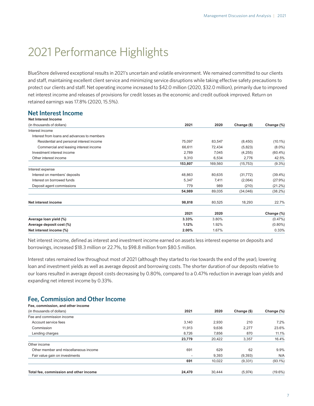# <span id="page-6-0"></span>2021 Performance Highlights

BlueShore delivered exceptional results in 2021's uncertain and volatile environment. We remained committed to our clients and staff, maintaining excellent client service and minimizing service disruptions while taking effective safety precautions to protect our clients and staff. Net operating income increased to \$42.0 million (2020, \$32.0 million), primarily due to improved net interest income and releases of provisions for credit losses as the economic and credit outlook improved. Return on retained earnings was 17.8% (2020, 15.5%).

# **Net Interest Income**

| Net Interest Income                         |         |         |             |            |
|---------------------------------------------|---------|---------|-------------|------------|
| (in thousands of dollars)                   | 2021    | 2020    | Change (\$) | Change (%) |
| Interest income                             |         |         |             |            |
| Interest from loans and advances to members |         |         |             |            |
| Residential and personal interest income    | 75,097  | 83,547  | (8,450)     | $(10.1\%)$ |
| Commercial and leasing interest income      | 66,611  | 72,434  | (5,823)     | $(8.0\%)$  |
| Investment interest income                  | 2,789   | 7,045   | (4, 255)    | $(60.4\%)$ |
| Other interest income                       | 9,310   | 6,534   | 2,776       | 42.5%      |
|                                             | 153,807 | 169,560 | (15, 753)   | $(9.3\%)$  |
| Interest expense                            |         |         |             |            |
| Interest on members' deposits               | 48,863  | 80,635  | (31, 772)   | $(39.4\%)$ |
| Interest on borrowed funds                  | 5,347   | 7,411   | (2,064)     | (27.9%)    |
| Deposit agent commissions                   | 779     | 989     | (210)       | (21.2%)    |
|                                             | 54,989  | 89,035  | (34,046)    | (38.2%)    |
| Net interest income                         | 98,818  | 80,525  | 18,293      | 22.7%      |
|                                             | 2021    | 2020    |             | Change (%) |
| Average loan yield (%)                      | 3.33%   | 3.80%   |             | $(0.47\%)$ |
| Average deposit cost (%)                    | 1.12%   | 1.92%   |             | $(0.80\%)$ |
| Net interest income (%)                     | 2.00%   | 1.67%   |             | 0.33%      |
|                                             |         |         |             |            |

Net interest income, defined as interest and investment income earned on assets less interest expense on deposits and borrowings, increased \$18.3 million or 22.7%, to \$98.8 million from \$80.5 million.

Interest rates remained low throughout most of 2021 (although they started to rise towards the end of the year), lowering loan and investment yields as well as average deposit and borrowing costs. The shorter duration of our deposits relative to our loans resulted in average deposit costs decreasing by 0.80%, compared to a 0.47% reduction in average loan yields and expanding net interest income by 0.33%.

# **Fee, Commission and Other Income**

| Fee, commission, and other income      |        |        |             |            |
|----------------------------------------|--------|--------|-------------|------------|
| (in thousands of dollars)              | 2021   | 2020   | Change (\$) | Change (%) |
| Fee and commission income              |        |        |             |            |
| Account service fees                   | 3.140  | 2,930  | 210         | 7.2%       |
| Commission                             | 11.913 | 9,636  | 2,277       | 23.6%      |
| Lending charges                        | 8.726  | 7,856  | 870         | 11.1%      |
|                                        | 23,779 | 20.422 | 3,357       | 16.4%      |
| Other income                           |        |        |             |            |
| Other member and miscellaneous income  | 691    | 629    | 62          | 9.9%       |
| Fair value gain on investments         |        | 9,393  | (9,393)     | N/A        |
|                                        | 691    | 10,022 | (9,331)     | $(93.1\%)$ |
| Total fee, commission and other income | 24,470 | 30.444 | (5,974)     | $(19.6\%)$ |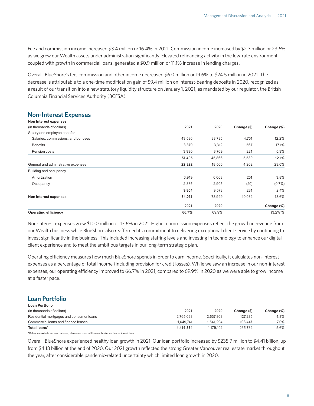Fee and commission income increased \$3.4 million or 16.4% in 2021. Commission income increased by \$2.3 million or 23.6% as we grew our Wealth assets under administration significantly. Elevated refinancing activity in the low-rate environment, coupled with growth in commercial loans, generated a \$0.9 million or 11.1% increase in lending charges.

Overall, BlueShore's fee, commission and other income decreased \$6.0 million or 19.6% to \$24.5 million in 2021. The decrease is attributable to a one-time modification gain of \$9.4 million on interest-bearing deposits in 2020, recognized as a result of our transition into a new statutory liquidity structure on January 1, 2021, as mandated by our regulator, the British Columbia Financial Services Authority (BCFSA).

# **Non-Interest Expenses**

| <b>Operating efficiency</b>        | 66.7%  | 69.9%  |             | $(3.2\%)%$ |
|------------------------------------|--------|--------|-------------|------------|
|                                    | 2021   | 2020   |             | Change (%) |
| Non interest expenses              | 84,031 | 73,999 | 10,032      | 13.6%      |
|                                    | 9,804  | 9,573  | 231         | 2.4%       |
| Occupancy                          | 2,885  | 2,905  | (20)        | $(0.7\%)$  |
| Amortization                       | 6,919  | 6,668  | 251         | 3.8%       |
| Building and occupancy             |        |        |             |            |
| General and adminstrative expenses | 22,822 | 18,560 | 4,262       | 23.0%      |
|                                    | 51,405 | 45,866 | 5,539       | 12.1%      |
| Pension costs                      | 3,990  | 3,769  | 221         | 5.9%       |
| <b>Benefits</b>                    | 3,879  | 3,312  | 567         | 17.1%      |
| Salaries, commissions, and bonuses | 43,536 | 38,785 | 4,751       | 12.2%      |
| Salary and employee benefits       |        |        |             |            |
| (in thousands of dollars)          | 2021   | 2020   | Change (\$) | Change (%) |
| Non Interest expenses              |        |        |             |            |

Non-interest expenses grew \$10.0 million or 13.6% in 2021. Higher commission expenses reflect the growth in revenue from our Wealth business while BlueShore also reaffirmed its commitment to delivering exceptional client service by continuing to invest significantly in the business. This included increasing staffing levels and investing in technology to enhance our digital client experience and to meet the ambitious targets in our long-term strategic plan.

Operating efficiency measures how much BlueShore spends in order to earn income. Specifically, it calculates non-interest expenses as a percentage of total income (including provision for credit losses). While we saw an increase in our non-interest expenses, our operating efficiency improved to 66.7% in 2021, compared to 69.9% in 2020 as we were able to grow income at a faster pace.

#### **Loan Portfolio Loan Portfolio**

| LUAII FUI LIUIIU                         |           |           |             |            |
|------------------------------------------|-----------|-----------|-------------|------------|
| (in thousands of dollars)                | 2021      | 2020      | Change (\$) | Change (%) |
| Residential mortgages and consumer loans | 2.765.093 | 2.637.808 | 127.285     | 4.8%       |
| Commercial loans and finance leases      | 1.649.741 | 1.541.294 | 108.447     | 7.0%       |
| Total loans*                             | 4.414.834 | 4.179.102 | 235.732     | 5.6%       |

\*Balances exclude accured interest, allowance for credit losses, broker and commitment fees

Overall, BlueShore experienced healthy loan growth in 2021. Our loan portfolio increased by \$235.7 million to \$4.41 billion, up from \$4.18 billion at the end of 2020. Our 2021 growth reflected the strong Greater Vancouver real estate market throughout the year, after considerable pandemic-related uncertainty which limited loan growth in 2020.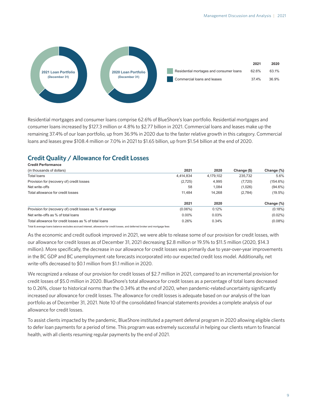

Residential mortgages and consumer loans comprise 62.6% of BlueShore's loan portfolio. Residential mortgages and consumer loans increased by \$127.3 million or 4.8% to \$2.77 billion in 2021. Commercial loans and leases make up the remaining 37.4% of our loan portfolio, up from 36.9% in 2020 due to the faster relative growth in this category. Commercial loans and leases grew \$108.4 million or 7.0% in 2021 to \$1.65 billion, up from \$1.54 billion at the end of 2020.

# **Credit Quality / Allowance for Credit Losses**

| <b>Credit Performance</b>                                 |            |           |             |             |
|-----------------------------------------------------------|------------|-----------|-------------|-------------|
| (in thousands of dollars)                                 | 2021       | 2020      | Change (\$) | Change (%)  |
| <b>Total loans</b>                                        | 4.414.834  | 4,179,102 | 235,732     | 5.6%        |
| Provision for (recovery of) credit losses                 | (2,725)    | 4,995     | (7, 720)    | $(154.6\%)$ |
| Net write-offs                                            | 58         | 1.084     | (1,026)     | $(94.6\%)$  |
| Total allowance for credit losses                         | 11.484     | 14.268    | (2,784)     | $(19.5\%)$  |
|                                                           | 2021       | 2020      |             | Change (%)  |
| Provision for (recovery of) credit losses as % of average | $(0.06\%)$ | 0.12%     |             | $(0.18\%)$  |
| Net write-offs as % of total loans                        | $0.00\%$   | 0.03%     |             | $(0.02\%)$  |
| Total allowance for credit losses as % of total loans     | 0.26%      | 0.34%     |             | $(0.08\%)$  |

Total & average loans balance excludes accrued interest, allowance for credit losses, and deferred broker and mortgage fees

As the economic and credit outlook improved in 2021, we were able to release some of our provision for credit losses, with our allowance for credit losses as of December 31, 2021 decreasing \$2.8 million or 19.5% to \$11.5 million (2020, \$14.3 million). More specifically, the decrease in our allowance for credit losses was primarily due to year-over-year improvements in the BC GDP and BC unemployment rate forecasts incorporated into our expected credit loss model. Additionally, net write-offs decreased to \$0.1 million from \$1.1 million in 2020.

We recognized a release of our provision for credit losses of \$2.7 million in 2021, compared to an incremental provision for credit losses of \$5.0 million in 2020. BlueShore's total allowance for credit losses as a percentage of total loans decreased to 0.26%, closer to historical norms than the 0.34% at the end of 2020, when pandemic-related uncertainty significantly increased our allowance for credit losses. The allowance for credit losses is adequate based on our analysis of the loan portfolio as of December 31, 2021. Note 10 of the consolidated financial statements provides a complete analysis of our allowance for credit losses.

To assist clients impacted by the pandemic, BlueShore instituted a payment deferral program in 2020 allowing eligible clients to defer loan payments for a period of time. This program was extremely successful in helping our clients return to financial health, with all clients resuming regular payments by the end of 2021.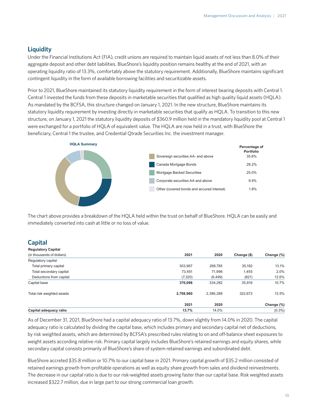# **Liquidity**

Under the Financial Institutions Act (FIA), credit unions are required to maintain liquid assets of not less than 8.0% of their aggregate deposit and other debt liabilities. BlueShore's liquidity position remains healthy at the end of 2021, with an operating liquidity ratio of 13.3%, comfortably above the statutory requirement. Additionally, BlueShore maintains significant contingent liquidity in the form of available borrowing facilities and securitizable assets.

Prior to 2021, BlueShore maintained its statutory liquidity requirement in the form of interest bearing deposits with Central 1. Central 1 invested the funds from these deposits in marketable securities that qualified as high quality liquid assets (HQLA). As mandated by the BCFSA, this structure changed on January 1, 2021. In the new structure, BlueShore maintains its statutory liquidity requirement by investing directly in marketable securities that qualify as HQLA. To transition to this new structure, on January 1, 2021 the statutory liquidity deposits of \$360.9 million held in the mandatory liquidity pool at Central 1 were exchanged for a portfolio of HQLA of equivalent value. The HQLA are now held in a trust, with BlueShore the beneficiary, Central 1 the trustee, and Credential Qtrade Securities Inc. the investment manager.



The chart above provides a breakdown of the HQLA held within the trust on behalf of BlueShore. HQLA can be easily and immediately converted into cash at little or no loss of value.

# **Capital**

| <b>Regulatory Capital</b>  |           |           |             |            |
|----------------------------|-----------|-----------|-------------|------------|
| (in thousands of dollars)  | 2021      | 2020      | Change (\$) | Change (%) |
| Regulatory capital         |           |           |             |            |
| Total primary capital      | 303,967   | 268.785   | 35.182      | 13.1%      |
| Total secondary capital    | 73.451    | 71.996    | 1.455       | 2.0%       |
| Deductions from capital    | (7,320)   | (6, 499)  | (821)       | 12.6%      |
| Capital base               | 370,098   | 334.282   | 35,816      | 10.7%      |
| Total risk weighted assets | 2,708,960 | 2,386,288 | 322.672     | 13.5%      |
|                            | 2021      | 2020      |             | Change (%) |
| Capital adequacy ratio     | 13.7%     | 14.0%     |             | $(0.3\%)$  |

As of December 31, 2021, BlueShore had a capital adequacy ratio of 13.7%, down slightly from 14.0% in 2020. The capital adequacy ratio is calculated by dividing the capital base, which includes primary and secondary capital net of deductions, by risk weighted assets, which are determined by BCFSA's prescribed rules relating to on and off-balance sheet exposures to weight assets according relative risk. Primary capital largely includes BlueShore's retained earnings and equity shares, while secondary capital consists primarily of BlueShore's share of system retained earnings and subordinated debt.

BlueShore accreted \$35.8 million or 10.7% to our capital base in 2021. Primary capital growth of \$35.2 million consisted of retained earnings growth from profitable operations as well as equity share growth from sales and dividend reinvestments. The decrease in our capital ratio is due to our risk-weighted assets growing faster than our capital base. Risk weighted assets increased \$322.7 million, due in large part to our strong commercial loan growth.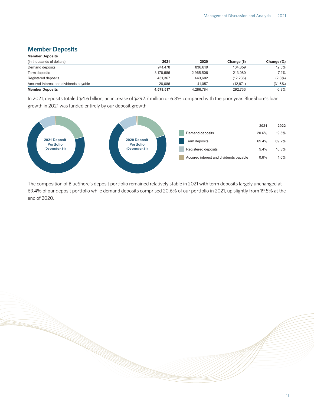# **Member Deposits**

| <b>Member Deposits</b>                 |           |           |             |            |
|----------------------------------------|-----------|-----------|-------------|------------|
| (in thousands of dollars)              | 2021      | 2020      | Change (\$) | Change (%) |
| Demand deposits                        | 941.478   | 836.619   | 104.859     | 12.5%      |
| Term deposits                          | 3.178.586 | 2.965.506 | 213.080     | 7.2%       |
| Registered deposits                    | 431.367   | 443.602   | (12, 235)   | $(2.8\%)$  |
| Accured Interest and dividends payable | 28.086    | 41.057    | (12.971)    | (31.6%)    |
| <b>Member Deposits</b>                 | 4,579,517 | 4,286,784 | 292.733     | 6.8%       |

In 2021, deposits totaled \$4.6 billion, an increase of \$292.7 million or 6.8% compared with the prior year. BlueShore's loan growth in 2021 was funded entirely by our deposit growth.



The composition of BlueShore's deposit portfolio remained relatively stable in 2021 with term deposits largely unchanged at 69.4% of our deposit portfolio while demand deposits comprised 20.6% of our portfolio in 2021, up slightly from 19.5% at the end of 2020.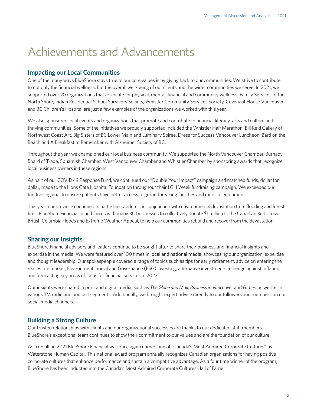# <span id="page-11-0"></span>Achievements and Advancements

### **Impacting our Local Communities**

One of the many ways BlueShore stays true to our core values is by giving back to our communities. We strive to contribute to not only the financial wellness, but the overall well-being of our clients and the wider communities we serve. In 2021, we supported over 70 organizations that advocate for physical, mental, financial and community wellness. Family Services of the North Shore, Indian Residential School Survivors Society, Whistler Community Services Society, Covenant House Vancouver and BC Children's Hospital are just a few examples of the organizations we worked with this year.

We also sponsored local events and organizations that promote and contribute to financial literacy, arts and culture and thriving communities. Some of the initiatives we proudly supported included the Whistler Half Marathon, Bill Reid Gallery of Northwest Coast Art, Big Sisters of BC Lower Mainland Luminary Soiree, Dress for Success Vancouver Luncheon, Bard on the Beach and A Breakfast to Remember with Alzheimer Society of BC.

Throughout the year we championed our local business community. We supported the North Vancouver Chamber, Burnaby Board of Trade, Squamish Chamber, West Vancouver Chamber and Whistler Chamber by sponsoring awards that recognize local business owners in these regions.

As part of our COVID-19 Response Fund, we continued our "Double Your Impact" campaign and matched funds, dollar for dollar, made to the Lions Gate Hospital Foundation throughout their LGH Week fundraising campaign. We exceeded our fundraising goal to ensure patients have better access to groundbreaking facilities and medical equipment.

This year, our province continued to battle the pandemic in conjunction with environmental devastation from flooding and forest fires. BlueShore Financial joined forces with many BC businesses to collectively donate \$1 million to the Canadian Red Cross British Columbia Floods and Extreme Weather Appeal, to help our communities rebuild and recover from the devastation.

### **Sharing our Insights**

BlueShore Financial advisors and leaders continue to be sought after to share their business and financial insights and expertise in the media. We were featured over 100 times in [local and national m](https://www.blueshorefinancial.com/about-blueshore/news-events/news)edia, showcasing our organization, expertise and thought leadership. Our spokespeople covered a range of topics such as tips for early retirement, advice on entering the real estate market, Environment, Social and Governance (ESG) investing, alternative investments to hedge against inflation, and forecasting key areas of focus for financial services in 2022.

Our insights were shared in print and digital media, such as *The Globe and Mail, Business in Vancouve*r and *Forbes*, as well as in various TV, radio and podcast segments. Additionally, we brought expert advice directly to our followers and members on our social media channels.

### **Building a Strong Culture**

Our trusted relationships with clients and our organizational successes are thanks to our dedicated staff members. BlueShore's exceptional team continues to show their commitment to our values and are the foundation of our culture.

As a result, in 2021 BlueShore Financial was once again named one of "Canada's Most Admired Corporate Cultures" by Waterstone Human Capital. This national award program annually recognizes Canadian organizations for having positive corporate cultures that enhance performance and sustain a competitive advantage. As a four time winner of the program, BlueShore has been inducted into the Canada's Most Admired Corporate Cultures Hall of Fame.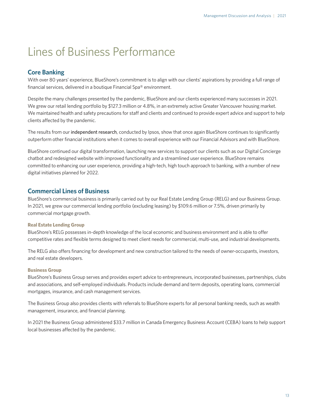# <span id="page-12-0"></span>Lines of Business Performance

# **Core Banking**

With over 80 years' experience, BlueShore's commitment is to align with our clients' aspirations by providing a full range of financial services, delivered in a boutique Financial Spa® environment.

Despite the many challenges presented by the pandemic, BlueShore and our clients experienced many successes in 2021. We grew our retail lending portfolio by \$127.3 million or 4.8%, in an extremely active Greater Vancouver housing market. We maintained health and safety precautions for staff and clients and continued to provide expert advice and support to help clients affected by the pandemic.

The results from our [independent research](https://www.blueshorefinancial.com/about-blueshore/discover-blueshore/client-voice/what-our-clients-say), conducted by Ipsos, show that once again BlueShore continues to significantly outperform other financial institutions when it comes to overall experience with our Financial Advisors and with BlueShore.

BlueShore continued our digital transformation, launching new services to support our clients such as our Digital Concierge chatbot and redesigned website with improved functionality and a streamlined user experience. BlueShore remains committed to enhancing our user experience, providing a high-tech, high touch approach to banking, with a number of new digital initiatives planned for 2022.

# **Commercial Lines of Business**

BlueShore's commercial business is primarily carried out by our Real Estate Lending Group (RELG) and our Business Group. In 2021, we grew our commercial lending portfolio (excluding leasing) by \$109.6 million or 7.5%, driven primarily by commercial mortgage growth.

#### **Real Estate Lending Group**

BlueShore's RELG possesses in-depth knowledge of the local economic and business environment and is able to offer competitive rates and flexible terms designed to meet client needs for commercial, multi-use, and industrial developments.

The RELG also offers financing for development and new construction tailored to the needs of owner-occupants, investors, and real estate developers.

### **Business Group**

BlueShore's Business Group serves and provides expert advice to entrepreneurs, incorporated businesses, partnerships, clubs and associations, and self-employed individuals. Products include demand and term deposits, operating loans, commercial mortgages, insurance, and cash management services.

The Business Group also provides clients with referrals to BlueShore experts for all personal banking needs, such as wealth management, insurance, and financial planning.

In 2021 the Business Group administered \$33.7 million in Canada Emergency Business Account (CEBA) loans to help support local businesses affected by the pandemic.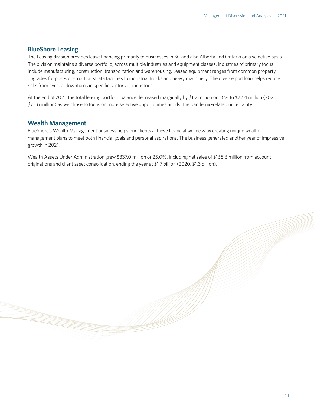### **BlueShore Leasing**

The Leasing division provides lease financing primarily to businesses in BC and also Alberta and Ontario on a selective basis. The division maintains a diverse portfolio, across multiple industries and equipment classes. Industries of primary focus include manufacturing, construction, transportation and warehousing. Leased equipment ranges from common property upgrades for post-construction strata facilities to industrial trucks and heavy machinery. The diverse portfolio helps reduce risks from cyclical downturns in specific sectors or industries.

At the end of 2021, the total leasing portfolio balance decreased marginally by \$1.2 million or 1.6% to \$72.4 million (2020, \$73.6 million) as we chose to focus on more selective opportunities amidst the pandemic-related uncertainty.

#### **Wealth Management**

BlueShore's Wealth Management business helps our clients achieve financial wellness by creating unique wealth management plans to meet both financial goals and personal aspirations. The business generated another year of impressive growth in 2021.

Wealth Assets Under Administration grew \$337.0 million or 25.0%, including net sales of \$168.6 million from account originations and client asset consolidation, ending the year at \$1.7 billion (2020, \$1.3 billion).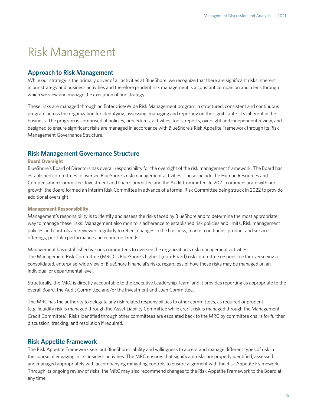# <span id="page-14-0"></span>Risk Management

### **Approach to Risk Management**

While our strategy is the primary driver of all activities at BlueShore, we recognize that there are significant risks inherent in our strategy and business activities and therefore prudent risk management is a constant companion and a lens through which we view and manage the execution of our strategy.

These risks are managed through an Enterprise-Wide Risk Management program, a structured, consistent and continuous program across the organization for identifying, assessing, managing and reporting on the significant risks inherent in the business. The program is comprised of policies, procedures, activities, tools, reports, oversight and independent review, and designed to ensure significant risks are managed in accordance with BlueShore's Risk Appetite Framework through its Risk Management Governance Structure.

### **Risk Management Governance Structure**

#### **Board Oversight**

BlueShore's Board of Directors has overall responsibility for the oversight of the risk management framework. The Board has established committees to oversee BlueShore's risk management activities. These include the Human Resources and Compensation Committee, Investment and Loan Committee and the Audit Committee. In 2021, commensurate with our growth, the Board formed an Interim Risk Committee in advance of a formal Risk Committee being struck in 2022 to provide additional oversight.

#### **Management Responsibility**

Management's responsibility is to identify and assess the risks faced by BlueShore and to determine the most appropriate way to manage these risks. Management also monitors adherence to established risk policies and limits. Risk management policies and controls are reviewed regularly to reflect changes in the business, market conditions, product and service offerings, portfolio performance and economic trends.

Management has established various committees to oversee the organization's risk management activities. The Management Risk Committee (MRC) is BlueShore's highest (non-Board) risk committee responsible for overseeing a consolidated, enterprise-wide view of BlueShore Financial's risks, regardless of how these risks may be managed on an individual or departmental level.

Structurally, the MRC is directly accountable to the Executive Leadership Team, and it provides reporting as appropriate to the overall Board, the Audit Committee and/or the Investment and Loan Committee.

The MRC has the authority to delegate any risk related responsibilities to other committees, as required or prudent (e.g. liquidity risk is managed through the Asset Liability Committee while credit risk is managed through the Management Credit Committee). Risks identified through other committees are escalated back to the MRC by committee chairs for further discussion, tracking, and resolution if required.

### **Risk Appetite Framework**

The Risk Appetite Framework sets out BlueShore's ability and willingness to accept and manage different types of risk in the course of engaging in its business activities. The MRC ensures that significant risks are properly identified, assessed and managed appropriately with accompanying mitigating controls to ensure alignment with the Risk Appetite Framework. Through its ongoing review of risks, the MRC may also recommend changes to the Risk Appetite Framework to the Board at any time.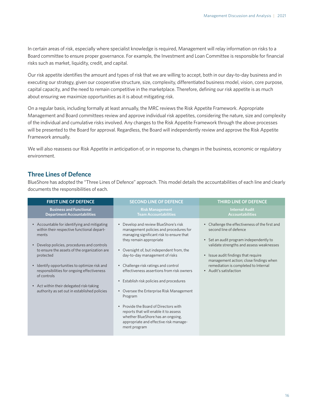In certain areas of risk, especially where specialist knowledge is required, Management will relay information on risks to a Board committee to ensure proper governance. For example, the Investment and Loan Committee is responsible for financial risks such as market, liquidity, credit, and capital.

Our risk appetite identifies the amount and types of risk that we are willing to accept, both in our day-to-day business and in executing our strategy, given our cooperative structure, size, complexity, differentiated business model, vision, core purpose, capital capacity, and the need to remain competitive in the marketplace. Therefore, defining our risk appetite is as much about ensuring we maximize opportunities as it is about mitigating risk.

On a regular basis, including formally at least annually, the MRC reviews the Risk Appetite Framework. Appropriate Management and Board committees review and approve individual risk appetites, considering the nature, size and complexity of the individual and cumulative risks involved. Any changes to the Risk Appetite Framework through the above processes will be presented to the Board for approval. Regardless, the Board will independently review and approve the Risk Appetite Framework annually.

We will also reassess our Risk Appetite in anticipation of, or in response to, changes in the business, economic or regulatory environment.

# **Three Lines of Defence**

BlueShore has adopted the "Three Lines of Defence" approach. This model details the accountabilities of each line and clearly documents the responsibilities of each.

| <b>FIRST LINE OF DEFENCE</b>                                                                                                                                                                                                                                                                                                                                                                                              | <b>SECOND LINE OF DEFENCE</b>                                                                                                                                                                                                                                                                                                                                                                                                                                                                                                                                                                                                                             | THIRD LINE OF DEFENCE                                                                                                                                                                                                                                                                                                         |
|---------------------------------------------------------------------------------------------------------------------------------------------------------------------------------------------------------------------------------------------------------------------------------------------------------------------------------------------------------------------------------------------------------------------------|-----------------------------------------------------------------------------------------------------------------------------------------------------------------------------------------------------------------------------------------------------------------------------------------------------------------------------------------------------------------------------------------------------------------------------------------------------------------------------------------------------------------------------------------------------------------------------------------------------------------------------------------------------------|-------------------------------------------------------------------------------------------------------------------------------------------------------------------------------------------------------------------------------------------------------------------------------------------------------------------------------|
| <b>Business and Functional</b><br><b>Department Accountabilities</b>                                                                                                                                                                                                                                                                                                                                                      | <b>Risk Management</b><br><b>Team Accountabilities</b>                                                                                                                                                                                                                                                                                                                                                                                                                                                                                                                                                                                                    | <b>Internal Audit</b><br><b>Accountabilities</b>                                                                                                                                                                                                                                                                              |
| • Accountable for identifying and mitigating<br>within their respective functional depart-<br>ments<br>• Develop policies, procedures and controls<br>to ensure the assets of the organization are<br>protected<br>• Identify opportunities to optimize risk and<br>responsibilities for ongoing effectiveness<br>of controls<br>• Act within their delegated risk-taking<br>authority as set out in established policies | Develop and review BlueShore's risk<br>management policies and procedures for<br>managing significant risk to ensure that<br>they remain appropriate<br>Oversight of, but independent from, the<br>day-to-day management of risks<br>• Challenge risk ratings and control<br>effectiveness assertions from risk owners<br>Establish risk policies and procedures<br>$\bullet$<br>Oversee the Enterprise Risk Management<br>$\bullet$<br>Program<br>Provide the Board of Directors with<br>$\qquad \qquad \bullet$<br>reports that will enable it to assess<br>whether BlueShore has an ongoing,<br>appropriate and effective risk manage-<br>ment program | Challenge the effectiveness of the first and<br>$\bullet$<br>second line of defence<br>• Set an audit program independently to<br>validate strengths and assess weaknesses<br>• Issue audit findings that require<br>management action; close findings when<br>remediation is completed to Internal<br>• Audit's satisfaction |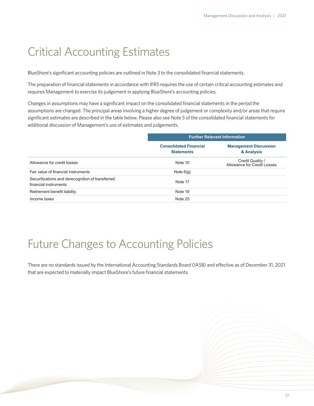# <span id="page-16-0"></span>Critical Accounting Estimates

BlueShore's significant accounting policies are outlined in Note 3 to the consolidated financial statements.

The preparation of financial statements in accordance with IFRS requires the use of certain critical accounting estimates and requires Management to exercise its judgement in applying BlueShore's accounting policies.

Changes in assumptions may have a significant impact on the consolidated financial statements in the period the assumptions are changed. The principal areas involving a higher degree of judgement or complexity and/or areas that require significant estimates are described in the table below. Please also see Note 5 of the consolidated financial statements for additional discussion of Management's use of estimates and judgements.

| <b>Further Relevant Information</b>                |                                                 |  |  |
|----------------------------------------------------|-------------------------------------------------|--|--|
| <b>Consolidated Financial</b><br><b>Statements</b> | <b>Management Discussion</b><br>& Analysis      |  |  |
| Note 10                                            | Credit Quality /<br>Allowance for Credit Losses |  |  |
| Note $6(q)$                                        |                                                 |  |  |
| Note 17                                            |                                                 |  |  |
| Note 19                                            |                                                 |  |  |
| Note 25                                            |                                                 |  |  |
|                                                    |                                                 |  |  |

# Future Changes to Accounting Policies

There are no standards issued by the International Accounting Standards Board (IASB) and effective as of December 31, 2021 that are expected to materially impact BlueShore's future financial statements.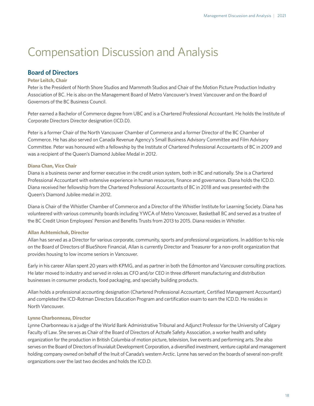# <span id="page-17-0"></span>Compensation Discussion and Analysis

# **Board of Directors**

### **Peter Leitch, Chair**

Peter is the President of North Shore Studios and Mammoth Studios and Chair of the Motion Picture Production Industry Association of BC. He is also on the Management Board of Metro Vancouver's Invest Vancouver and on the Board of Governors of the BC Business Council.

Peter earned a Bachelor of Commerce degree from UBC and is a Chartered Professional Accountant. He holds the Institute of Corporate Directors Director designation (ICD.D).

Peter is a former Chair of the North Vancouver Chamber of Commerce and a former Director of the BC Chamber of Commerce. He has also served on Canada Revenue Agency's Small Business Advisory Committee and Film Advisory Committee. Peter was honoured with a fellowship by the Institute of Chartered Professional Accountants of BC in 2009 and was a recipient of the Queen's Diamond Jubilee Medal in 2012.

#### **Diana Chan, Vice Chair**

Diana is a business owner and former executive in the credit union system, both in BC and nationally. She is a Chartered Professional Accountant with extensive experience in human resources, finance and governance. Diana holds the ICD.D. Diana received her fellowship from the Chartered Professional Accountants of BC in 2018 and was presented with the Queen's Diamond Jubilee medal in 2012.

Diana is Chair of the Whistler Chamber of Commerce and a Director of the Whistler Institute for Learning Society. Diana has volunteered with various community boards including YWCA of Metro Vancouver, Basketball BC and served as a trustee of the BC Credit Union Employees' Pension and Benefits Trusts from 2013 to 2015. Diana resides in Whistler.

#### **Allan Achtemichuk, Director**

Allan has served as a Director for various corporate, community, sports and professional organizations. In addition to his role on the Board of Directors of BlueShore Financial, Allan is currently Director and Treasurer for a non-profit organization that provides housing to low income seniors in Vancouver.

Early in his career Allan spent 20 years with KPMG, and as partner in both the Edmonton and Vancouver consulting practices. He later moved to industry and served in roles as CFO and/or CEO in three different manufacturing and distribution businesses in consumer products, food packaging, and specialty building products.

Allan holds a professional accounting designation (Chartered Professional Accountant, Certified Management Accountant) and completed the ICD-Rotman Directors Education Program and certification exam to earn the ICD.D. He resides in North Vancouver.

#### **Lynne Charbonneau, Director**

Lynne Charbonneau is a judge of the World Bank Administrative Tribunal and Adjunct Professor for the University of Calgary Faculty of Law. She serves as Chair of the Board of Directors of Actsafe Safety Association, a worker health and safety organization for the production in British Columbia of motion picture, television, live events and performing arts. She also serves on the Board of Directors of Inuvialuit Development Corporation, a diversified investment, venture capital and management holding company owned on behalf of the Inuit of Canada's western Arctic. Lynne has served on the boards of several non-profit organizations over the last two decides and holds the ICD.D.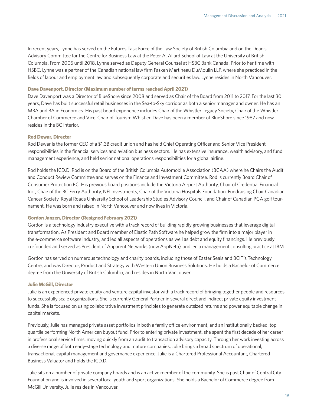In recent years, Lynne has served on the Futures Task Force of the Law Society of British Columbia and on the Dean's Advisory Committee for the Centre for Business Law at the Peter A. Allard School of Law at the University of British Columbia. From 2005 until 2018, Lynne served as Deputy General Counsel at HSBC Bank Canada. Prior to her time with HSBC, Lynne was a partner of the Canadian national law firm Fasken Martineau DuMoulin LLP, where she practiced in the fields of labour and employment law and subsequently corporate and securities law. Lynne resides in North Vancouver.

#### **Dave Davenport, Director (Maximum number of terms reached April 2021)**

Dave Davenport was a Director of BlueShore since 2008 and served as Chair of the Board from 2011 to 2017. For the last 30 years, Dave has built successful retail businesses in the Sea-to-Sky corridor as both a senior manager and owner. He has an MBA and BA in Economics. His past board experience includes Chair of the Whistler Legacy Society, Chair of the Whistler Chamber of Commerce and Vice-Chair of Tourism Whistler. Dave has been a member of BlueShore since 1987 and now resides in the BC Interior.

#### **Rod Dewar, Director**

Rod Dewar is the former CEO of a \$1.3B credit union and has held Chief Operating Officer and Senior Vice President responsibilities in the financial services and aviation business sectors. He has extensive insurance, wealth advisory, and fund management experience, and held senior national operations responsibilities for a global airline.

Rod holds the ICD.D. Rod is on the Board of the British Columbia Automobile Association (BCAA) where he Chairs the Audit and Conduct Review Committee and serves on the Finance and Investment Committee. Rod is currently Board Chair of Consumer Protection BC. His previous board positions include the Victoria Airport Authority, Chair of Credential Financial Inc., Chair of the BC Ferry Authority, NEI Investments, Chair of the Victoria Hospitals Foundation, Fundraising Chair Canadian Cancer Society, Royal Roads University School of Leadership Studies Advisory Council, and Chair of Canadian PGA golf tournament. He was born and raised in North Vancouver and now lives in Victoria.

#### **Gordon Janzen, Director (Resigned February 2021)**

Gordon is a technology industry executive with a track record of building rapidly growing businesses that leverage digital transformation. As President and Board member of Elastic Path Software he helped grow the firm into a major player in the e-commerce software industry, and led all aspects of operations as well as debt and equity financings. He previously co-founded and served as President of Apparent Networks (now AppNeta), and led a management consulting practice at IBM.

Gordon has served on numerous technology and charity boards, including those of Easter Seals and BCIT's Technology Centre, and was Director, Product and Strategy with Western Union Business Solutions. He holds a Bachelor of Commerce degree from the University of British Columbia, and resides in North Vancouver.

#### **Julie McGill, Director**

Julie is an experienced private equity and venture capital investor with a track record of bringing together people and resources to successfully scale organizations. She is currently General Partner in several direct and indirect private equity investment funds. She is focused on using collaborative investment principles to generate outsized returns and power equitable change in capital markets.

Previously, Julie has managed private asset portfolios in both a family office environment, and an institutionally backed, top quartile performing North American buyout fund. Prior to entering private investment, she spent the first decade of her career in professional service firms, moving quickly from an audit to transaction advisory capacity. Through her work investing across a diverse range of both early-stage technology and mature companies, Julie brings a broad spectrum of operational, transactional, capital management and governance experience. Julie is a Chartered Professional Accountant, Chartered Business Valuator and holds the ICD.D.

Julie sits on a number of private company boards and is an active member of the community. She is past Chair of Central City Foundation and is involved in several local youth and sport organizations. She holds a Bachelor of Commerce degree from McGill University. Julie resides in Vancouver.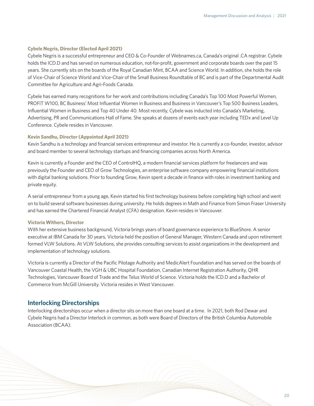#### **Cybele Negris, Director (Elected April 2021)**

Cybele Negris is a successful entrepreneur and CEO & Co-Founder of Webnames.ca, Canada's original .CA registrar. Cybele holds the ICD.D and has served on numerous education, not-for-profit, government and corporate boards over the past 15 years. She currently sits on the boards of the Royal Canadian Mint, BCAA and Science World. In addition, she holds the role of Vice-Chair of Science World and Vice-Chair of the Small Business Roundtable of BC and is part of the Departmental Audit Committee for Agriculture and Agri-Foods Canada.

Cybele has earned many recognitions for her work and contributions including Canada's Top 100 Most Powerful Women, PROFIT W100, BC Business' Most Influential Women in Business and Business in Vancouver's Top 500 Business Leaders, Influential Women in Business and Top 40 Under 40. Most recently, Cybele was inducted into Canada's Marketing, Advertising, PR and Communications Hall of Fame. She speaks at dozens of events each year including TEDx and Level Up Conference. Cybele resides in Vancouver.

#### **Kevin Sandhu, Director (Appointed April 2021)**

Kevin Sandhu is a technology and financial services entrepreneur and investor. He is currently a co-founder, investor, advisor and board member to several technology startups and financing companies across North America.

Kevin is currently a Founder and the CEO of ControlHQ, a modern financial services platform for freelancers and was previously the Founder and CEO of Grow Technologies, an enterprise software company empowering financial institutions with digital banking solutions. Prior to founding Grow, Kevin spent a decade in finance with roles in investment banking and private equity.

A serial entrepreneur from a young age, Kevin started his first technology business before completing high school and went on to build several software businesses during university. He holds degrees in Math and Finance from Simon Fraser University and has earned the Chartered Financial Analyst (CFA) designation. Kevin resides in Vancouver.

#### **Victoria Withers, Director**

With her extensive business background, Victoria brings years of board governance experience to BlueShore. A senior executive at IBM Canada for 30 years, Victoria held the position of General Manager, Western Canada and upon retirement formed VLW Solutions. At VLW Solutions, she provides consulting services to assist organizations in the development and implementation of technology solutions.

Victoria is currently a Director of the Pacific Pilotage Authority and MedicAlert Foundation and has served on the boards of Vancouver Coastal Health, the VGH & UBC Hospital Foundation, Canadian Internet Registration Authority, QHR Technologies, Vancouver Board of Trade and the Telus World of Science. Victoria holds the ICD.D and a Bachelor of Commerce from McGill University. Victoria resides in West Vancouver.

#### **Interlocking Directorships**

Interlocking directorships occur when a director sits on more than one board at a time. In 2021, both Rod Dewar and Cybele Negris had a Director Interlock in common, as both were Board of Directors of the British Columbia Automobile Association (BCAA).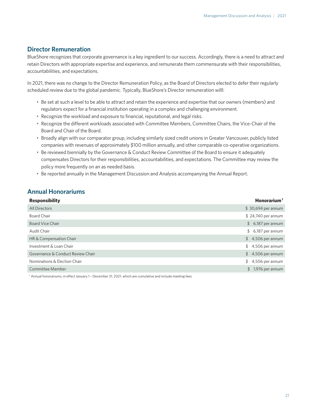# **Director Remuneration**

BlueShore recognizes that corporate governance is a key ingredient to our success. Accordingly, there is a need to attract and retain Directors with appropriate expertise and experience, and remunerate them commensurate with their responsibilities, accountabilities, and expectations.

In 2021, there was no change to the Director Remuneration Policy, as the Board of Directors elected to defer their regularly scheduled review due to the global pandemic. Typically, BlueShore's Director remuneration willl:

- Be set at such a level to be able to attract and retain the experience and expertise that our owners (members) and regulators expect for a financial institution operating in a complex and challenging environment.
- Recognize the workload and exposure to financial, reputational, and legal risks.
- Recognize the different workloads associated with Committee Members, Committee Chairs, the Vice-Chair of the Board and Chair of the Board.
- Broadly align with our comparator group, including similarly sized credit unions in Greater Vancouver, publicly listed companies with revenues of approximately \$100 million annually, and other comparable co-operative organizations.
- Be reviewed biennially by the Governance & Conduct Review Committee of the Board to ensure it adequately compensates Directors for their responsibilities, accountabilities, and expectations. The Committee may review the policy more frequently on an as needed basis.
- Be reported annually in the Management Discussion and Analysis accompanying the Annual Report.

# **Annual Honorariums**

| <b>Responsibility</b>             | $H$ onorarium <sup>1</sup> |
|-----------------------------------|----------------------------|
| All Directors                     | $$30,694$ per annum        |
| <b>Board Chair</b>                | $$24,740$ per annum        |
| <b>Board Vice Chair</b>           | $$6,187$ per annum         |
| Audit Chair                       | $$6,187$ per annum         |
| HR & Compensation Chair           | $$4,506$ per annum         |
| Investment & Loan Chair           | $$4,506$ per annum         |
| Governance & Conduct Review Chair | $$4,506$ per annum         |
| Nominations & Election Chair      | $$4,506$ per annum         |
| Committee Member                  | $$1,976$ per annum         |
|                                   |                            |

1 Annual honorariums, in effect January 1 – December 31, 2021, which are cumulative and include meeting fees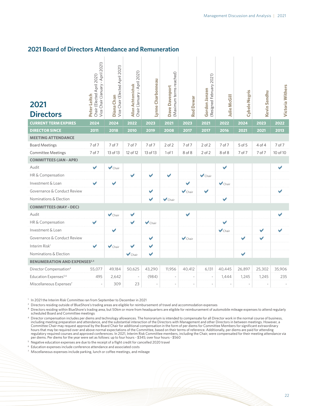### **2021 Board of Directors Attendance and Remuneration**

| 2021<br><b>Directors</b>            | Vice Chair (January - April 2021)<br>Chair (Elected April 2021)<br>Peter Leitch | Vice Chair (Elected April 2021)<br>Diana Chan | Chair (January - April 2021)<br><b>Allan Achtemichuk</b> | Lynne Charbonneau    | (Maximum terms reached)<br>Dave Davenport | <b>Rod Dewar</b>            | (Resigned February 2021)<br>Gordon Janzen | <b>Julie McGill</b>         | <b>Cybele Negris</b> | Kevin Sandhu          | <b>Victoria Withers</b> |
|-------------------------------------|---------------------------------------------------------------------------------|-----------------------------------------------|----------------------------------------------------------|----------------------|-------------------------------------------|-----------------------------|-------------------------------------------|-----------------------------|----------------------|-----------------------|-------------------------|
| <b>CURRENT TERM EXPIRES</b>         | 2024                                                                            | 2024                                          | 2022                                                     | 2023                 | 2021                                      | 2023                        | 2021                                      | 2022                        | 2024                 | 2023                  | 2022                    |
| <b>DIRECTOR SINCE</b>               | 2011                                                                            | 2018                                          | 2010                                                     | 2019                 | 2008                                      | 2017                        | 2017                                      | 2016                        | 2021                 | 2021                  | 2013                    |
| <b>MEETING ATTENDANCE</b>           |                                                                                 |                                               |                                                          |                      |                                           |                             |                                           |                             |                      |                       |                         |
| <b>Board Meetings</b>               | 7 of 7                                                                          | 7 of 7                                        | 7 of 7                                                   | 7 of 7               | $2$ of $2$                                | 7 of 7                      | $2$ of $2$                                | 7 of 7                      | 5 of 5               | 4 of 4                | 7 of 7                  |
| Committee Meetings                  | 7 of 7                                                                          | 13 of 13                                      | 12 of 12                                                 | 13 of 13             | 1 of 1                                    | 8 of 8                      | $2$ of $2$                                | 8 of 8                      | 7 of 7               | 7 of 7                | 10 of 10                |
| <b>COMMITTEES (JAN - APR)</b>       |                                                                                 |                                               |                                                          |                      |                                           |                             |                                           |                             |                      |                       |                         |
| Audit                               | ✔                                                                               | $\blacktriangleright$ Chair                   |                                                          |                      |                                           |                             |                                           | $\blacktriangleright$       |                      |                       | ✔                       |
| HR & Compensation                   |                                                                                 |                                               | ✔                                                        | V                    | ✔                                         |                             | $\blacktriangleright$ Chair               |                             |                      |                       |                         |
| Investment & Loan                   |                                                                                 | ✔                                             |                                                          |                      |                                           | ✔                           |                                           | $\blacktriangleright$ Chair |                      |                       |                         |
| Governance & Conduct Review         |                                                                                 |                                               |                                                          |                      |                                           | $\blacktriangleright$ Chair | V                                         |                             |                      |                       | $\blacktriangledown$    |
| Nominations & Election              |                                                                                 |                                               |                                                          |                      | $\blacktriangleright$ Chair               |                             |                                           | ✔                           |                      |                       |                         |
| <b>COMMITTEES (MAY - DEC)</b>       |                                                                                 |                                               |                                                          |                      |                                           |                             |                                           |                             |                      |                       |                         |
| Audit                               |                                                                                 | $\blacktriangleright$ Chair                   | ✔                                                        |                      |                                           | ✔                           |                                           |                             |                      |                       |                         |
| HR & Compensation                   | $\blacktriangledown$                                                            |                                               | $\blacktriangledown$                                     | $\vee$ Chair         |                                           |                             |                                           | ✔                           |                      |                       |                         |
| Investment & Loan                   |                                                                                 | ✔                                             |                                                          |                      |                                           |                             |                                           | $\blacktriangleright$ Chair |                      | $\blacktriangleright$ | ✔                       |
| Governance & Conduct Review         |                                                                                 |                                               |                                                          | ✔                    |                                           | $\blacktriangleright$ Chair |                                           |                             | $\blacktriangledown$ | ✔                     |                         |
| Interim Risk <sup>1</sup>           | ✔                                                                               | $\blacktriangleright$ Chair                   | ✔                                                        | $\blacktriangledown$ |                                           |                             |                                           |                             |                      |                       |                         |
| Nominations & Election              |                                                                                 |                                               | $\blacktriangleright$ Chair                              | ✔                    |                                           |                             |                                           |                             | $\blacktriangledown$ |                       |                         |
| <b>RENUMERATION AND EXPENSES2,3</b> |                                                                                 |                                               |                                                          |                      |                                           |                             |                                           |                             |                      |                       |                         |
| Director Compensation <sup>4</sup>  | 55,077                                                                          | 49,184                                        | 50,625                                                   | 43,290               | 11,956                                    | 40,412                      | 6,131                                     | 40,445                      | 26,897               | 25,302                | 35,906                  |
| Education Expenses <sup>5,6</sup>   | 495                                                                             | 2,642                                         |                                                          | (984)                |                                           |                             |                                           | 1,444                       | 1,245                | 1,245                 | 235                     |
| Miscellaneous Expenses7             |                                                                                 | 309                                           | 23                                                       |                      |                                           | ÷,                          |                                           |                             |                      |                       |                         |

<sup>1</sup> In 2021 the Interim Risk Committee ran from September to December in 2021

<sup>2</sup> Directors residing outside of BlueShore's trading areas are eligible for reimbursement of travel and accommodation expenses<br><sup>3</sup> Directors residing within BlueShore's trading area, but 50km or more from headquarters are

³ Directors residing within BlueShore's trading area, but 50km or more from headquarters are eligible for reimbursement of automobile mileage expenses to attend regularly scheduled Board and Committee meetings

4 Director compensation includes per diems and technology allowances. The honorarium is intended to compensate for all Director work in the normal course of business, including meeting preparation and attendance, and the substantial interaction of the Directors with Management and other Directors in between meetings. However, a Committee Chair may request approval by the Board Chair for additional compensation in the form of per diems for Committee Members for significant extraordinary hours that may be required over and above normal expectations of the Committee, based on their terms of reference. Additionally, per diems are paid for attending regulatory required courses and approved conferences. In 2021, Interim Risk Committee members, including the Chair, were compensated for their meeting attendance via<br>per diems. Per diems for the year were set as follows: u

<sup>5</sup> Negative education expenses are due to the receipt of a flight credit for cancelled 2020 travel

<sup>6</sup> Education expenses include conference attendance and associated costs

 $7$  Miscellaneous expenses include parking, lunch or coffee meetings, and mileage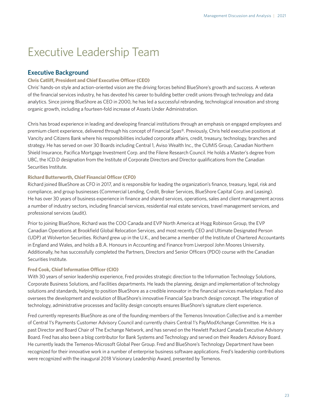# <span id="page-22-0"></span>Executive Leadership Team

### **Executive Background**

#### **Chris Catliff, President and Chief Executive Officer (CEO)**

Chris' hands-on style and action-oriented vision are the driving forces behind BlueShore's growth and success. A veteran of the financial services industry, he has devoted his career to building better credit unions through technology and data analytics. Since joining BlueShore as CEO in 2000, he has led a successful rebranding, technological innovation and strong organic growth, including a fourteen-fold increase of Assets Under Administration.

Chris has broad experience in leading and developing financial institutions through an emphasis on engaged employees and premium client experience, delivered through his concept of Financial Spas®. Previously, Chris held executive positions at Vancity and Citizens Bank where his responsibilities included corporate affairs, credit, treasury, technology, branches and strategy. He has served on over 30 Boards including Central 1, Aviso Wealth Inc., the CUMIS Group, Canadian Northern Shield Insurance, Pacifica Mortgage Investment Corp. and the Filene Research Council. He holds a Master's degree from UBC, the ICD.D designation from the Institute of Corporate Directors and Director qualifications from the Canadian Securities Institute.

#### **Richard Butterworth, Chief Financial Officer (CFO)**

Richard joined BlueShore as CFO in 2017, and is responsible for leading the organization's finance, treasury, legal, risk and compliance, and group businesses (Commercial Lending, Credit, Broker Services, BlueShore Capital Corp. and Leasing). He has over 30 years of business experience in finance and shared services, operations, sales and client management across a number of industry sectors, including financial services, residential real estate services, travel management services, and professional services (audit).

Prior to joining BlueShore, Richard was the COO Canada and EVP North America at Hogg Robinson Group, the EVP Canadian Operations at Brookfield Global Relocation Services, and most recently CEO and Ultimate Designated Person (UDP) at Wolverton Securities. Richard grew up in the U.K., and became a member of the Institute of Chartered Accountants in England and Wales, and holds a B.A. Honours in Accounting and Finance from Liverpool John Moores University. Additionally, he has successfully completed the Partners, Directors and Senior Officers (PDO) course with the Canadian Securities Institute.

#### **Fred Cook, Chief Information Officer (CIO)**

With 30 years of senior leadership experience, Fred provides strategic direction to the Information Technology Solutions, Corporate Business Solutions, and Facilities departments. He leads the planning, design and implementation of technology solutions and standards, helping to position BlueShore as a credible innovator in the financial services marketplace. Fred also oversees the development and evolution of BlueShore's innovative Financial Spa branch design concept. The integration of technology, administrative processes and facility design concepts ensures BlueShore's signature client experience.

Fred currently represents BlueShore as one of the founding members of the Temenos Innovation Collective and is a member of Central 1's Payments Customer Advisory Council and currently chairs Central 1's PayModXchange Committee. He is a past Director and Board Chair of The Exchange Network, and has served on the Hewlett Packard Canada Executive Advisory Board. Fred has also been a blog contributor for Bank Systems and Technology and served on their Readers Advisory Board. He currently leads the Temenos-Microsoft Global Peer Group. Fred and BlueShore's Technology Department have been recognized for their innovative work in a number of enterprise business software applications. Fred's leadership contributions were recognized with the inaugural 2018 Visionary Leadership Award, presented by Temenos.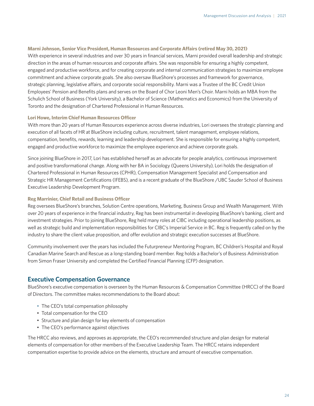#### **Marni Johnson, Senior Vice President, Human Resources and Corporate Affairs (retired May 30, 2021)**

With experience in several industries and over 30 years in financial services, Marni provided overall leadership and strategic direction in the areas of human resources and corporate affairs. She was responsible for ensuring a highly competent, engaged and productive workforce, and for creating corporate and internal communication strategies to maximize employee commitment and achieve corporate goals. She also oversaw BlueShore's processes and framework for governance, strategic planning, legislative affairs, and corporate social responsibility. Marni was a Trustee of the BC Credit Union Employees' Pension and Benefits plans and serves on the Board of Chor Leoni Men's Choir. Marni holds an MBA from the Schulich School of Business (York University), a Bachelor of Science (Mathematics and Economics) from the University of Toronto and the designation of Chartered Professional in Human Resources.

#### **Lori Howe, Interim Chief Human Resources Officer**

With more than 20 years of Human Resources experience across diverse industries, Lori oversees the strategic planning and execution of all facets of HR at BlueShore including culture, recruitment, talent management, employee relations, compensation, benefits, rewards, learning and leadership development. She is responsible for ensuring a highly competent, engaged and productive workforce to maximize the employee experience and achieve corporate goals.

Since joining BlueShore in 2017, Lori has established herself as an advocate for people analytics, continuous improvement and positive transformational change. Along with her BA in Sociology (Queens University), Lori holds the designation of Chartered Professional in Human Resources (CPHR), Compensation Management Specialist and Compensation and Strategic HR Management Certifications (IFEBS), and is a recent graduate of the BlueShore /UBC Sauder School of Business Executive Leadership Development Program.

#### **Reg Marrinier, Chief Retail and Business Officer**

Reg oversees BlueShore's branches, Solution Centre operations, Marketing, Business Group and Wealth Management. With over 20 years of experience in the financial industry, Reg has been instrumental in developing BlueShore's banking, client and investment strategies. Prior to joining BlueShore, Reg held many roles at CIBC including operational leadership positions, as well as strategic build and implementation responsibilities for CIBC's Imperial Service in BC. Reg is frequently called on by the industry to share the client value proposition, and offer evolution and strategic execution successes at BlueShore.

Community involvement over the years has included the Futurpreneur Mentoring Program, BC Children's Hospital and Royal Canadian Marine Search and Rescue as a long-standing board member. Reg holds a Bachelor's of Business Administration from Simon Fraser University and completed the Certified Financial Planning (CFP) designation.

### **Executive Compensation Governance**

BlueShore's executive compensation is overseen by the Human Resources & Compensation Committee (HRCC) of the Board of Directors. The committee makes recommendations to the Board about:

- The CEO's total compensation philosophy
- Total compensation for the CEO
- Structure and plan design for key elements of compensation
- The CEO's performance against objectives

The HRCC also reviews, and approves as appropriate, the CEO's recommended structure and plan design for material elements of compensation for other members of the Executive Leadership Team. The HRCC retains independent compensation expertise to provide advice on the elements, structure and amount of executive compensation.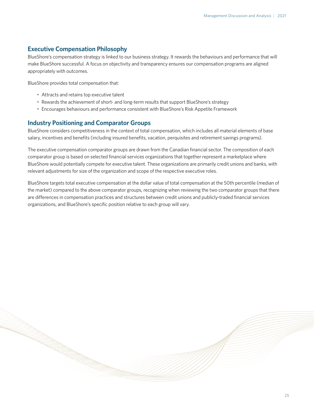### **Executive Compensation Philosophy**

BlueShore's compensation strategy is linked to our business strategy. It rewards the behaviours and performance that will make BlueShore successful. A focus on objectivity and transparency ensures our compensation programs are aligned appropriately with outcomes.

BlueShore provides total compensation that:

- Attracts and retains top executive talent
- Rewards the achievement of short- and long-term results that support BlueShore's strategy
- Encourages behaviours and performance consistent with BlueShore's Risk Appetite Framework

### **Industry Positioning and Comparator Groups**

BlueShore considers competitiveness in the context of total compensation, which includes all material elements of base salary, incentives and benefits (including insured benefits, vacation, perquisites and retirement savings programs).

The executive compensation comparator groups are drawn from the Canadian financial sector. The composition of each comparator group is based on selected financial services organizations that together represent a marketplace where BlueShore would potentially compete for executive talent. These organizations are primarily credit unions and banks, with relevant adjustments for size of the organization and scope of the respective executive roles.

BlueShore targets total executive compensation at the dollar value of total compensation at the 50th percentile (median of the market) compared to the above comparator groups, recognizing when reviewing the two comparator groups that there are differences in compensation practices and structures between credit unions and publicly-traded financial services organizations, and BlueShore's specific position relative to each group will vary.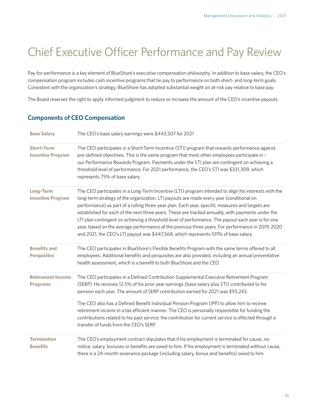# <span id="page-25-0"></span>Chief Executive Officer Performance and Pay Review

Pay-for-performance is a key element of BlueShore's executive compensation philosophy. In addition to base salary, the CEO's compensation program includes cash incentive programs that tie pay to performance on both short- and long-term goals. Consistent with the organization's strategy, BlueShore has adopted substantial weight on at-risk pay relative to base pay.

The Board reserves the right to apply informed judgment to reduce or increase the amount of the CEO's incentive payouts.

# **Components of CEO Compensation**

| <b>Base Salary</b>                            | The CEO's base salary earnings were \$443,507 for 2021                                                                                                                                                                                                                                                                                                                                                                                                                                                                                                                                                                                                                                                    |
|-----------------------------------------------|-----------------------------------------------------------------------------------------------------------------------------------------------------------------------------------------------------------------------------------------------------------------------------------------------------------------------------------------------------------------------------------------------------------------------------------------------------------------------------------------------------------------------------------------------------------------------------------------------------------------------------------------------------------------------------------------------------------|
| <b>Short-Term</b><br><b>Incentive Program</b> | The CEO participates in a Short-Term Incentive (STI) program that rewards performance against<br>pre-defined objectives. This is the same program that most other employees participate in -<br>our Performance Rewards Program. Payments under the STI plan are contingent on achieving a<br>threshold level of performance. For 2021 performance, the CEO's STI was \$331,309, which<br>represents 75% of base salary.                                                                                                                                                                                                                                                                                  |
| <b>Long-Term</b><br><b>Incentive Program</b>  | The CEO participates in a Long-Term Incentive (LTI) program intended to align his interests with the<br>long-term strategy of the organization. LTI payouts are made every year (conditional on<br>performance) as part of a rolling three-year plan. Each year, specific measures and targets are<br>established for each of the next three years. These are tracked annually, with payments under the<br>LTI plan contingent on achieving a threshold level of performance. The payout each year is for one<br>year, based on the average performance of the previous three years. For performance in 2019, 2020<br>and 2021, the CEO's LTI payout was \$447,568, which represents 101% of base salary. |
| <b>Benefits and</b><br><b>Perquisites</b>     | The CEO participates in BlueShore's Flexible Benefits Program with the same terms offered to all<br>employees. Additional benefits and perquisites are also provided, including an annual preventative<br>health assessment, which is a benefit to both BlueShore and the CEO.                                                                                                                                                                                                                                                                                                                                                                                                                            |
| <b>Retirement Income</b><br><b>Programs</b>   | The CEO participates in a Defined Contribution Supplemental Executive Retirement Program<br>(SERP). He receives 12.5% of his prior year earnings (base salary plus STI) contributed to his<br>pension each year. The amount of SERP contribution earned for 2021 was \$93,243.<br>The CEO also has a Defined Benefit Individual Pension Program (IPP) to allow him to receive<br>retirement income in a tax efficient manner. The CEO is personally responsible for funding the<br>contributions related to his past service; the contribution for current service is effected through a<br>transfer of funds from the CEO's SERP.                                                                        |
| <b>Termination</b><br><b>Benefits</b>         | The CEO's employment contract stipulates that if his employment is terminated for cause, no<br>notice, salary, bonuses or benefits are owed to him. If his employment is terminated without cause,<br>there is a 24-month severance package (including salary, bonus and benefits) owed to him.                                                                                                                                                                                                                                                                                                                                                                                                           |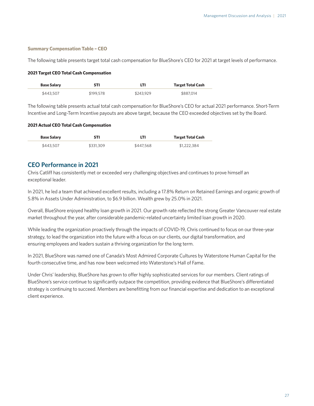#### **Summary Compensation Table – CEO**

The following table presents target total cash compensation for BlueShore's CEO for 2021 at target levels of performance.

#### **2021 Target CEO Total Cash Compensation**

| <b>Base Salary</b> | STI       | LTI       | <b>Target Total Cash</b> |
|--------------------|-----------|-----------|--------------------------|
| \$443.507          | \$199,578 | \$243.929 | \$887.014                |

The following table presents actual total cash compensation for BlueShore's CEO for actual 2021 performance. Short-Term Incentive and Long-Term Incentive payouts are above target, because the CEO exceeded objectives set by the Board.

#### **2021 Actual CEO Total Cash Compensation**

| <b>Base Salary</b> | <b>STI</b> | LTI       | <b>Target Total Cash</b> |
|--------------------|------------|-----------|--------------------------|
| \$443,507          | \$331,309  | \$447.568 | \$1,222,384              |

### **CEO Performance in 2021**

Chris Catliff has consistently met or exceeded very challenging objectives and continues to prove himself an exceptional leader.

In 2021, he led a team that achieved excellent results, including a 17.8% Return on Retained Earnings and organic growth of 5.8% in Assets Under Administration, to \$6.9 billion. Wealth grew by 25.0% in 2021.

Overall, BlueShore enjoyed healthy loan growth in 2021. Our growth rate reflected the strong Greater Vancouver real estate market throughout the year, after considerable pandemic-related uncertainty limited loan growth in 2020.

While leading the organization proactively through the impacts of COVID-19, Chris continued to focus on our three-year strategy, to lead the organization into the future with a focus on our clients, our digital transformation, and ensuring employees and leaders sustain a thriving organization for the long term.

In 2021, BlueShore was named one of Canada's Most Admired Corporate Cultures by Waterstone Human Capital for the fourth consecutive time, and has now been welcomed into Waterstone's Hall of Fame.

Under Chris' leadership, BlueShore has grown to offer highly sophisticated services for our members. Client ratings of BlueShore's service continue to significantly outpace the competition, providing evidence that BlueShore's differentiated strategy is continuing to succeed. Members are benefitting from our financial expertise and dedication to an exceptional client experience.